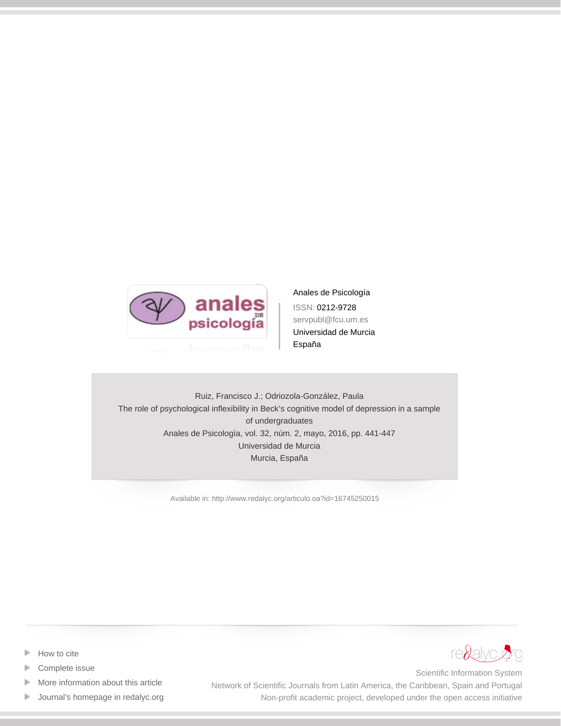

[Anales de Psicología](http://www.redalyc.org/revista.oa?id=167) ISSN: 0212-9728 servpubl@fcu.um.es Universidad de Murcia España

Ruiz, Francisco J.; Odriozola-González, Paula The role of psychological inflexibility in Beck's cognitive model of depression in a sample of undergraduates Anales de Psicología, vol. 32, núm. 2, mayo, 2016, pp. 441-447 Universidad de Murcia Murcia, España

[Available in: http://www.redalyc.org/articulo.oa?id=16745250015](http://www.redalyc.org/articulo.oa?id=16745250015)



- [Complete issue](http://www.redalyc.org/fasciculo.oa?id=167&numero=45250)
- [More information about this article](http://www.redalyc.org/articulo.oa?id=16745250015) Þ
- [Journal's homepage in redalyc.org](http://www.redalyc.org/revista.oa?id=167)  $\mathbb P$



Scientific Information System Network of Scientific Journals from Latin America, the Caribbean, Spain and Portugal Non-profit academic project, developed under the open access initiative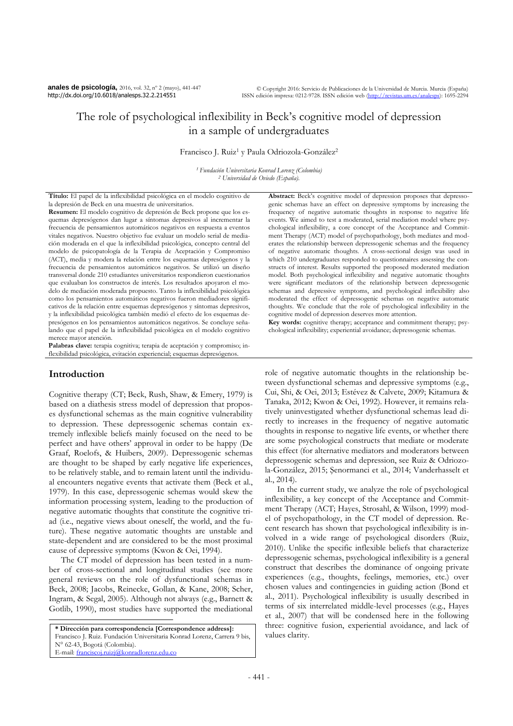**anales de psicología,** 2016, vol. 32, nº 2 (mayo), 441-447 http://dx.doi.org/10.6018/analesps.32.2.214551

© Copyright 2016: Servicio de Publicaciones de la Universidad de Murcia. Murcia (España) ISSN edición impresa: 0212-9728. ISSN edición web [\(http://revistas.um.es/analesps\)](http://revistas.um.es/analesps): 1695-2294

# The role of psychological inflexibility in Beck's cognitive model of depression in a sample of undergraduates

Francisco J. Ruiz<sup>1</sup> y Paula Odriozola-González<sup>2</sup>

*<sup>1</sup>Fundación Universitaria Konrad Lorenz (Colombia) <sup>2</sup> Universidad de Oviedo (España).*

**Título:** El papel de la inflexibilidad psicológica en el modelo cognitivo de la depresión de Beck en una muestra de universitarios.

**Resumen:** El modelo cognitivo de depresión de Beck propone que los esquemas depresógenos dan lugar a síntomas depresivos al incrementar la frecuencia de pensamientos automáticos negativos en respuesta a eventos vitales negativos. Nuestro objetivo fue evaluar un modelo serial de mediación moderada en el que la inflexibilidad psicológica, concepto central del modelo de psicopatología de la Terapia de Aceptación y Compromiso (ACT), media y modera la relación entre los esquemas depresógenos y la frecuencia de pensamientos automáticos negativos. Se utilizó un diseño transversal donde 210 estudiantes universitarios respondieron cuestionarios que evaluaban los constructos de interés. Los resultados apoyaron el modelo de mediación moderada propuesto. Tanto la inflexibilidad psicológica como los pensamientos automáticos negativos fueron mediadores significativos de la relación entre esquemas depresógenos y síntomas depresivos, y la inflexibilidad psicológica también medió el efecto de los esquemas depresógenos en los pensamientos automáticos negativos. Se concluye señalando que el papel de la inflexibilidad psicológica en el modelo cognitivo merece mayor atención.

**Palabras clave:** terapia cognitiva; terapia de aceptación y compromiso; inflexibilidad psicológica, evitación experiencial; esquemas depresógenos.

## **Introduction**

 $\overline{a}$ 

Cognitive therapy (CT; Beck, Rush, Shaw, & Emery, 1979) is based on a diathesis stress model of depression that proposes dysfunctional schemas as the main cognitive vulnerability to depression. These depressogenic schemas contain extremely inflexible beliefs mainly focused on the need to be perfect and have others' approval in order to be happy (De Graaf, Roelofs, & Huibers, 2009). Depressogenic schemas are thought to be shaped by early negative life experiences, to be relatively stable, and to remain latent until the individual encounters negative events that activate them (Beck et al., 1979). In this case, depressogenic schemas would skew the information processing system, leading to the production of negative automatic thoughts that constitute the cognitive triad (i.e., negative views about oneself, the world, and the future). These negative automatic thoughts are unstable and state-dependent and are considered to be the most proximal cause of depressive symptoms (Kwon & Oei, 1994).

The CT model of depression has been tested in a number of cross-sectional and longitudinal studies (see more general reviews on the role of dysfunctional schemas in Beck, 2008; Jacobs, Reinecke, Gollan, & Kane, 2008; Scher, Ingram, & Segal, 2005). Although not always (e.g., Barnett & Gotlib, 1990), most studies have supported the mediational Abstract: Beck's cognitive model of depression proposes that depressogenic schemas have an effect on depressive symptoms by increasing the frequency of negative automatic thoughts in response to negative life events. We aimed to test a moderated, serial mediation model where psychological inflexibility, a core concept of the Acceptance and Commitment Therapy (ACT) model of psychopathology, both mediates and moderates the relationship between depressogenic schemas and the frequency of negative automatic thoughts. A cross-sectional design was used in which 210 undergraduates responded to questionnaires assessing the constructs of interest. Results supported the proposed moderated mediation model. Both psychological inflexibility and negative automatic thoughts were significant mediators of the relationship between depressogenic schemas and depressive symptoms, and psychological inflexibility also moderated the effect of depressogenic schemas on negative automatic thoughts. We conclude that the role of psychological inflexibility in the cognitive model of depression deserves more attention.

**Key words:** cognitive therapy; acceptance and commitment therapy; psychological inflexibility; experiential avoidance; depressogenic schemas.

role of negative automatic thoughts in the relationship between dysfunctional schemas and depressive symptoms (e.g., Cui, Shi, & Oei, 2013; Estévez & Calvete, 2009; Kitamura & Tanaka, 2012; Kwon & Oei, 1992). However, it remains relatively uninvestigated whether dysfunctional schemas lead directly to increases in the frequency of negative automatic thoughts in response to negative life events, or whether there are some psychological constructs that mediate or moderate this effect (for alternative mediators and moderators between depressogenic schemas and depression, see Ruiz & Odriozola-González, 2015; Şenormanci et al., 2014; Vanderhasselt et al., 2014).

In the current study, we analyze the role of psychological inflexibility, a key concept of the Acceptance and Commitment Therapy (ACT; Hayes, Strosahl, & Wilson, 1999) model of psychopathology, in the CT model of depression. Recent research has shown that psychological inflexibility is involved in a wide range of psychological disorders (Ruiz, 2010). Unlike the specific inflexible beliefs that characterize depressogenic schemas, psychological inflexibility is a general construct that describes the dominance of ongoing private experiences (e.g., thoughts, feelings, memories, etc.) over chosen values and contingencies in guiding action (Bond et al., 2011). Psychological inflexibility is usually described in terms of six interrelated middle-level processes (e.g., Hayes et al., 2007) that will be condensed here in the following three: cognitive fusion, experiential avoidance, and lack of values clarity.

**<sup>\*</sup> Dirección para correspondencia [Correspondence address]:** Francisco J. Ruiz. Fundación Universitaria Konrad Lorenz, Carrera 9 bis, N° 62-43, Bogotá (Colombia). E-mail[: franciscoj.ruizj@konradlorenz.edu.co](mailto:franciscoj.ruizj@konradlorenz.edu.co)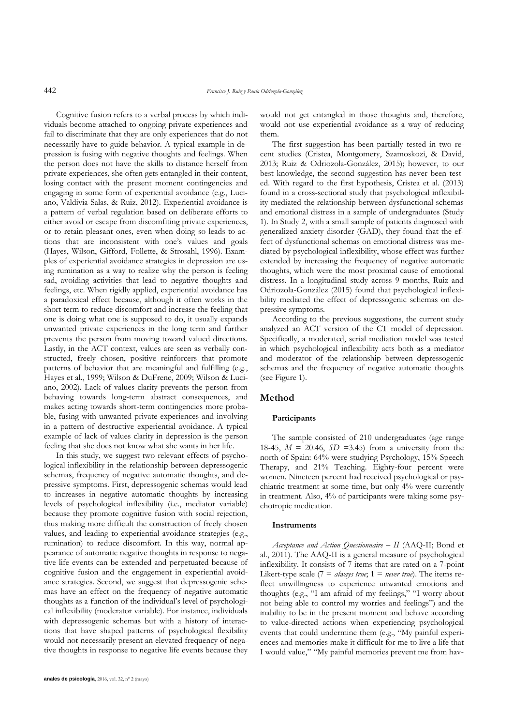Cognitive fusion refers to a verbal process by which individuals become attached to ongoing private experiences and fail to discriminate that they are only experiences that do not necessarily have to guide behavior. A typical example in depression is fusing with negative thoughts and feelings. When the person does not have the skills to distance herself from private experiences, she often gets entangled in their content, losing contact with the present moment contingencies and engaging in some form of experiential avoidance (e.g., Luciano, Valdivia-Salas, & Ruiz, 2012). Experiential avoidance is a pattern of verbal regulation based on deliberate efforts to either avoid or escape from discomfiting private experiences, or to retain pleasant ones, even when doing so leads to actions that are inconsistent with one's values and goals (Hayes, Wilson, Gifford, Follette, & Strosahl, 1996). Examples of experiential avoidance strategies in depression are using rumination as a way to realize why the person is feeling sad, avoiding activities that lead to negative thoughts and feelings, etc. When rigidly applied, experiential avoidance has a paradoxical effect because, although it often works in the short term to reduce discomfort and increase the feeling that one is doing what one is supposed to do, it usually expands unwanted private experiences in the long term and further prevents the person from moving toward valued directions. Lastly, in the ACT context, values are seen as verbally constructed, freely chosen, positive reinforcers that promote patterns of behavior that are meaningful and fulfilling (e.g., Hayes et al., 1999; Wilson & DuFrene, 2009; Wilson & Luciano, 2002). Lack of values clarity prevents the person from behaving towards long-term abstract consequences, and makes acting towards short-term contingencies more probable, fusing with unwanted private experiences and involving in a pattern of destructive experiential avoidance. A typical example of lack of values clarity in depression is the person feeling that she does not know what she wants in her life.

In this study, we suggest two relevant effects of psychological inflexibility in the relationship between depressogenic schemas, frequency of negative automatic thoughts, and depressive symptoms. First, depressogenic schemas would lead to increases in negative automatic thoughts by increasing levels of psychological inflexibility (i.e., mediator variable) because they promote cognitive fusion with social rejection, thus making more difficult the construction of freely chosen values, and leading to experiential avoidance strategies (e.g., rumination) to reduce discomfort. In this way, normal appearance of automatic negative thoughts in response to negative life events can be extended and perpetuated because of cognitive fusion and the engagement in experiential avoidance strategies. Second, we suggest that depressogenic schemas have an effect on the frequency of negative automatic thoughts as a function of the individual's level of psychological inflexibility (moderator variable). For instance, individuals with depressogenic schemas but with a history of interactions that have shaped patterns of psychological flexibility would not necessarily present an elevated frequency of negative thoughts in response to negative life events because they

would not get entangled in those thoughts and, therefore, would not use experiential avoidance as a way of reducing them.

The first suggestion has been partially tested in two recent studies (Cristea, Montgomery, Szamoskozi, & David, 2013; Ruiz & Odriozola-González, 2015); however, to our best knowledge, the second suggestion has never been tested. With regard to the first hypothesis, Cristea et al. (2013) found in a cross-sectional study that psychological inflexibility mediated the relationship between dysfunctional schemas and emotional distress in a sample of undergraduates (Study 1). In Study 2, with a small sample of patients diagnosed with generalized anxiety disorder (GAD), they found that the effect of dysfunctional schemas on emotional distress was mediated by psychological inflexibility, whose effect was further extended by increasing the frequency of negative automatic thoughts, which were the most proximal cause of emotional distress. In a longitudinal study across 9 months, Ruiz and Odriozola-González (2015) found that psychological inflexibility mediated the effect of depressogenic schemas on depressive symptoms.

According to the previous suggestions, the current study analyzed an ACT version of the CT model of depression. Specifically, a moderated, serial mediation model was tested in which psychological inflexibility acts both as a mediator and moderator of the relationship between depressogenic schemas and the frequency of negative automatic thoughts (see Figure 1).

## **Method**

## **Participants**

The sample consisted of 210 undergraduates (age range 18-45,  $M = 20.46$ ,  $SD = 3.45$  from a university from the north of Spain: 64% were studying Psychology, 15% Speech Therapy, and 21% Teaching. Eighty-four percent were women. Nineteen percent had received psychological or psychiatric treatment at some time, but only 4% were currently in treatment. Also, 4% of participants were taking some psychotropic medication.

#### **Instruments**

*Acceptance and Action Questionnaire – II* (AAQ-II; Bond et al., 2011). The AAQ-II is a general measure of psychological inflexibility. It consists of 7 items that are rated on a 7-point Likert-type scale (7 = *always true*; 1 = *never true*). The items reflect unwillingness to experience unwanted emotions and thoughts (e.g., "I am afraid of my feelings," "I worry about not being able to control my worries and feelings") and the inability to be in the present moment and behave according to value-directed actions when experiencing psychological events that could undermine them (e.g., "My painful experiences and memories make it difficult for me to live a life that I would value," "My painful memories prevent me from hav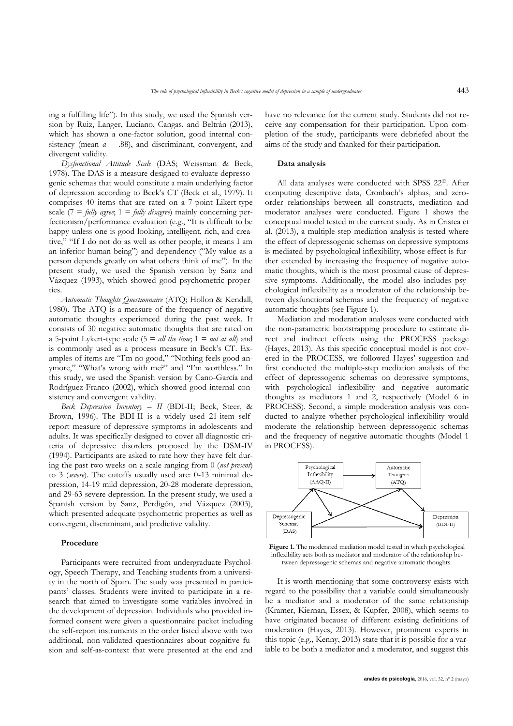ing a fulfilling life"). In this study, we used the Spanish version by Ruiz, Langer, Luciano, Cangas, and Beltrán (2013), which has shown a one-factor solution, good internal consistency (mean *α* = .88), and discriminant, convergent, and divergent validity.

*Dysfunctional Attitude Scale* (DAS; Weissman & Beck, 1978). The DAS is a measure designed to evaluate depressogenic schemas that would constitute a main underlying factor of depression according to Beck's CT (Beck et al., 1979). It comprises 40 items that are rated on a 7-point Likert-type scale (7 = *fully agree*; 1 = *fully disagree*) mainly concerning perfectionism/performance evaluation (e.g., "It is difficult to be happy unless one is good looking, intelligent, rich, and creative," "If I do not do as well as other people, it means I am an inferior human being") and dependency ("My value as a person depends greatly on what others think of me"). In the present study, we used the Spanish version by Sanz and Vázquez (1993), which showed good psychometric properties.

*Automatic Thoughts Questionnaire* (ATQ; Hollon & Kendall, 1980). The ATQ is a measure of the frequency of negative automatic thoughts experienced during the past week. It consists of 30 negative automatic thoughts that are rated on a 5-point Lykert-type scale (5 = *all the time*; 1 = *not at all*) and is commonly used as a process measure in Beck's CT. Examples of items are "I'm no good," "Nothing feels good anymore," "What's wrong with me?" and "I'm worthless." In this study, we used the Spanish version by Cano-García and Rodríguez-Franco (2002), which showed good internal consistency and convergent validity.

*Beck Depression Inventory – II* (BDI-II; Beck, Steer, & Brown, 1996). The BDI-II is a widely used 21-item selfreport measure of depressive symptoms in adolescents and adults. It was specifically designed to cover all diagnostic criteria of depressive disorders proposed by the DSM-IV (1994). Participants are asked to rate how they have felt during the past two weeks on a scale ranging from 0 (*not present*) to 3 (*severe*). The cutoffs usually used are: 0-13 minimal depression, 14-19 mild depression, 20-28 moderate depression, and 29-63 severe depression. In the present study, we used a Spanish version by Sanz, Perdigón, and Vázquez (2003), which presented adequate psychometric properties as well as convergent, discriminant, and predictive validity.

## **Procedure**

Participants were recruited from undergraduate Psychology, Speech Therapy, and Teaching students from a university in the north of Spain. The study was presented in participants' classes. Students were invited to participate in a research that aimed to investigate some variables involved in the development of depression. Individuals who provided informed consent were given a questionnaire packet including the self-report instruments in the order listed above with two additional, non-validated questionnaires about cognitive fusion and self-as-context that were presented at the end and have no relevance for the current study. Students did not receive any compensation for their participation. Upon completion of the study, participants were debriefed about the aims of the study and thanked for their participation.

#### **Data analysis**

All data analyses were conducted with SPSS 22©. After computing descriptive data, Cronbach's alphas, and zeroorder relationships between all constructs, mediation and moderator analyses were conducted. Figure 1 shows the conceptual model tested in the current study. As in Cristea et al. (2013), a multiple-step mediation analysis is tested where the effect of depressogenic schemas on depressive symptoms is mediated by psychological inflexibility, whose effect is further extended by increasing the frequency of negative automatic thoughts, which is the most proximal cause of depressive symptoms. Additionally, the model also includes psychological inflexibility as a moderator of the relationship between dysfunctional schemas and the frequency of negative automatic thoughts (see Figure 1).

Mediation and moderation analyses were conducted with the non-parametric bootstrapping procedure to estimate direct and indirect effects using the PROCESS package (Hayes, 2013). As this specific conceptual model is not covered in the PROCESS, we followed Hayes' suggestion and first conducted the multiple-step mediation analysis of the effect of depressogenic schemas on depressive symptoms, with psychological inflexibility and negative automatic thoughts as mediators 1 and 2, respectively (Model 6 in PROCESS). Second, a simple moderation analysis was conducted to analyze whether psychological inflexibility would moderate the relationship between depressogenic schemas and the frequency of negative automatic thoughts (Model 1 in PROCESS).



Figure 1. The moderated mediation model tested in which psychological inflexibility acts both as mediator and moderator of the relationship between depressogenic schemas and negative automatic thoughts.

It is worth mentioning that some controversy exists with regard to the possibility that a variable could simultaneously be a mediator and a moderator of the same relationship (Kramer, Kiernan, Essex, & Kupfer, 2008), which seems to have originated because of different existing definitions of moderation (Hayes, 2013). However, prominent experts in this topic (e.g., Kenny, 2013) state that it is possible for a variable to be both a mediator and a moderator, and suggest this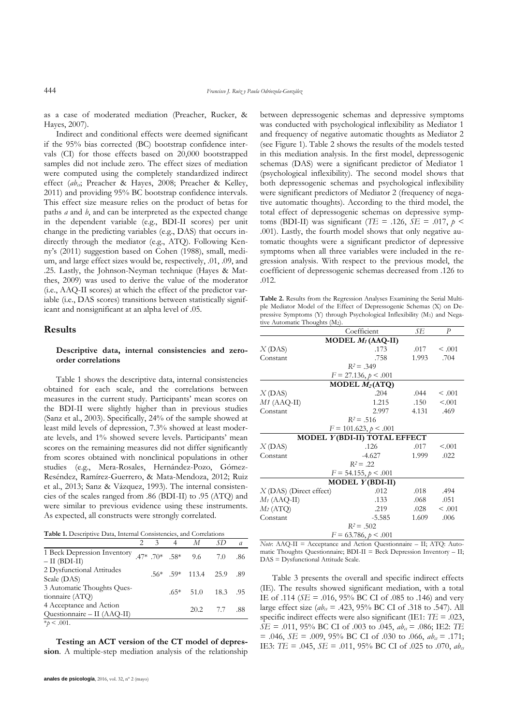as a case of moderated mediation (Preacher, Rucker, & Hayes, 2007).

Indirect and conditional effects were deemed significant if the 95% bias corrected (BC) bootstrap confidence intervals (CI) for those effects based on 20,000 bootstrapped samples did not include zero. The effect sizes of mediation were computed using the completely standardized indirect effect (*abcs*; Preacher & Hayes, 2008; Preacher & Kelley, 2011) and providing 95% BC bootstrap confidence intervals. This effect size measure relies on the product of betas for paths *a* and *b*, and can be interpreted as the expected change in the dependent variable (e.g., BDI-II scores) per unit change in the predicting variables (e.g., DAS) that occurs indirectly through the mediator (e.g., ATQ). Following Kenny's (2011) suggestion based on Cohen (1988), small, medium, and large effect sizes would be, respectively, .01, .09, and .25. Lastly, the Johnson-Neyman technique (Hayes & Matthes, 2009) was used to derive the value of the moderator (i.e., AAQ-II scores) at which the effect of the predictor variable (i.e., DAS scores) transitions between statistically significant and nonsignificant at an alpha level of .05.

## **Results**

## **Descriptive data, internal consistencies and zeroorder correlations**

Table 1 shows the descriptive data, internal consistencies obtained for each scale, and the correlations between measures in the current study. Participants' mean scores on the BDI-II were slightly higher than in previous studies (Sanz et al., 2003). Specifically, 24% of the sample showed at least mild levels of depression, 7.3% showed at least moderate levels, and 1% showed severe levels. Participants' mean scores on the remaining measures did not differ significantly from scores obtained with nonclinical populations in other studies (e.g., Mera-Rosales, Hernández-Pozo, Gómez-Reséndez, Ramírez-Guerrero, & Mata-Mendoza, 2012; Ruiz et al., 2013; Sanz & Vázquez, 1993). The internal consistencies of the scales ranged from .86 (BDI-II) to .95 (ATQ) and were similar to previous evidence using these instruments. As expected, all constructs were strongly correlated.

**Table 1.** Descriptive Data, Internal Consistencies, and Correlations

|                                                        | $\mathcal{E}$ |                      | M                        | SD   | a   |
|--------------------------------------------------------|---------------|----------------------|--------------------------|------|-----|
| 1 Beck Depression Inventory<br>$-$ II (BDI-II)         |               | $.47*$ .70* .58* 9.6 |                          | 7.0  | .86 |
| 2 Dysfunctional Attitudes<br>Scale (DAS)               |               |                      | $.56*$ $.59*$ 113.4 25.9 |      | .89 |
| 3 Automatic Thoughts Ques-<br>tionnaire (ATQ)          |               |                      | $.65*$ 51.0              | 18.3 | .95 |
| 4 Acceptance and Action<br>Questionnaire - II (AAQ-II) |               |                      | 20.2                     | 7.7  | .88 |
| * $p < .001$ .                                         |               |                      |                          |      |     |

**Testing an ACT version of the CT model of depression**. A multiple-step mediation analysis of the relationship between depressogenic schemas and depressive symptoms was conducted with psychological inflexibility as Mediator 1 and frequency of negative automatic thoughts as Mediator 2 (see Figure 1). Table 2 shows the results of the models tested in this mediation analysis. In the first model, depressogenic schemas (DAS) were a significant predictor of Mediator 1 (psychological inflexibility). The second model shows that both depressogenic schemas and psychological inflexibility were significant predictors of Mediator 2 (frequency of negative automatic thoughts). According to the third model, the total effect of depressogenic schemas on depressive symptoms (BDI-II) was significant (*TE* = .126, *SE* = .017,  $p$  < .001). Lastly, the fourth model shows that only negative automatic thoughts were a significant predictor of depressive symptoms when all three variables were included in the regression analysis. With respect to the previous model, the coefficient of depressogenic schemas decreased from .126 to .012.

**Table 2.** Results from the Regression Analyses Examining the Serial Multiple Mediator Model of the Effect of Depressogenic Schemas (X) on Depressive Symptoms (Y) through Psychological Inflexibility (M1) and Negative Automatic Thoughts (M<sub>2</sub>).

|                           | Coefficient                  | SE    | $\boldsymbol{P}$ |  |  |
|---------------------------|------------------------------|-------|------------------|--|--|
| MODEL $M_1$ (AAQ-II)      |                              |       |                  |  |  |
| $X$ (DAS)                 | .173                         | .017  | < 0.001          |  |  |
| Constant                  | .758                         | 1.993 | .704             |  |  |
| $R^2 = .349$              |                              |       |                  |  |  |
| $F = 27.136, p < .001$    |                              |       |                  |  |  |
| MODEL $M_2$ (ATQ)         |                              |       |                  |  |  |
| $X$ (DAS)                 | .204                         | .044  | < 0.001          |  |  |
| $M1$ (AAQ-II)             | 1.215                        | .150  | < .001           |  |  |
| Constant                  | 2.997                        | 4.131 | .469             |  |  |
|                           | $R^2 = .516$                 |       |                  |  |  |
|                           | $F = 101.623, p < .001$      |       |                  |  |  |
|                           | MODEL Y(BDI-II) TOTAL EFFECT |       |                  |  |  |
| $X$ (DAS)                 | .126                         | .017  | < .001           |  |  |
| Constant                  | $-4.627$                     | 1.999 | .022             |  |  |
| $R^2 = .22$               |                              |       |                  |  |  |
| $F = 54.155, p < .001$    |                              |       |                  |  |  |
| MODEL $Y(BDI-II)$         |                              |       |                  |  |  |
| $X$ (DAS) (Direct effect) | .012                         | .018  | .494             |  |  |
| $M_I$ (AAQ-II)            | .133                         | .068  | .051             |  |  |
| $M_2(ATQ)$                | .219                         | .028  | < 0.001          |  |  |
| Constant                  | $-5.585$                     | 1.609 | .006             |  |  |
| $R^2 = .502$              |                              |       |                  |  |  |
| $F = 63.786, p < .001$    |                              |       |                  |  |  |

*Note*: AAQ-II = Acceptance and Action Questionnaire – II; ATQ: Automatic Thoughts Questionnaire; BDI-II = Beck Depression Inventory – II; DAS = Dysfunctional Attitude Scale.

Table 3 presents the overall and specific indirect effects (IE). The results showed significant mediation, with a total IE of .114 (*SE* = .016, 95% BC CI of .085 to .146) and very large effect size (*abcs* = .423, 95% BC CI of .318 to .547). All specific indirect effects were also significant (IE1: *TE* = .023, *SE* = .011, 95% BC CI of .003 to .045, *abcs* = .086; IE2: *TE*  $= .046$ ,  $SE = .009$ ,  $95\%$  BC CI of .030 to .066,  $ab_{cs} = .171$ ; IE3: *TE* = .045, *SE* = .011, 95% BC CI of .025 to .070, *abcs*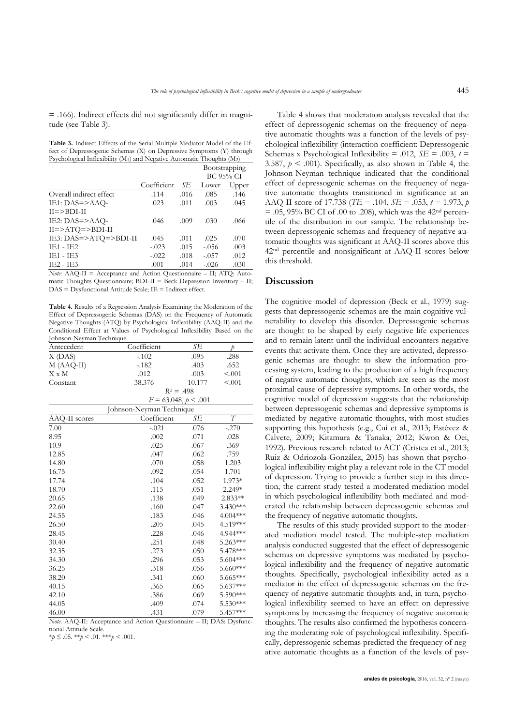= .166). Indirect effects did not significantly differ in magnitude (see Table 3).

**Table 3.** Indirect Effects of the Serial Multiple Mediator Model of the Effect of Depressogenic Schemas (X) on Depressive Symptoms (Y) through Psychological Inflexibility (M1) and Negative Automatic Thoughts (M2)

|                         |             |      | Bootstrapping    |       |  |
|-------------------------|-------------|------|------------------|-------|--|
|                         |             |      | <b>BC 95% CI</b> |       |  |
|                         | Coefficient | SЕ   | Lower            | Upper |  |
| Overall indirect effect | .114        | .016 | .085             | .146  |  |
| IE1: DAS=>AAQ-          | .023        | .011 | .003             | .045  |  |
| $II = > BDI-II$         |             |      |                  |       |  |
| IE2: DAS=>AAQ-          | .046        | .009 | .030             | .066  |  |
| $II = >ATQ = >BDI-II$   |             |      |                  |       |  |
| IE3: DAS=>ATQ=>BDI-II   | .045        | .011 | .025             | .070  |  |
| <b>IE1 - IE2</b>        | $-.023$     | .015 | $-.056$          | .003  |  |
| IE1 - IE3               | $-.022$     | .018 | $-.057$          | .012  |  |
| $IE2 - IE3$             | .001        | .014 | $-.026$          | .030  |  |

*Note:* AAQ-II = Acceptance and Action Questionnaire – II; ATQ: Automatic Thoughts Questionnaire; BDI-II = Beck Depression Inventory – II; DAS = Dysfunctional Attitude Scale; IE = Indirect effect.

**Table 4.** Results of a Regression Analysis Examining the Moderation of the Effect of Depressogenic Schemas (DAS) on the Frequency of Automatic Negative Thoughts (ATQ) by Psychological Inflexibility (AAQ-II) and the Conditional Effect at Values of Psychological Inflexibility Based on the Johnson-Neyman Technique.

| Antecedent    | Coefficient              | SЕ                     | $\mathcal{D}$  |  |  |
|---------------|--------------------------|------------------------|----------------|--|--|
| X (DAS)       | $-.102$                  | .095                   | .288           |  |  |
| $M(AAQ-II)$   | $-182$                   | .403                   | .652           |  |  |
| X x M         | .012                     | .003                   | < .001         |  |  |
| Constant      | 38.376                   | 10.177                 | < .001         |  |  |
|               |                          | $R^2 = .498$           |                |  |  |
|               |                          | $F = 63.048, p < .001$ |                |  |  |
|               | Johnson-Neyman Technique |                        |                |  |  |
| AAQ-II scores | Coefficient              | SE                     | $\overline{T}$ |  |  |
| 7.00          | $-.021$                  | .076                   | $-.270$        |  |  |
| 8.95          | .002                     | .071                   | .028           |  |  |
| 10.9          | .025                     | .067                   | .369           |  |  |
| 12.85         | .047                     | .062                   | .759           |  |  |
| 14.80         | .070                     | .058                   | 1.203          |  |  |
| 16.75         | .092                     | .054                   | 1.701          |  |  |
| 17.74         | .104                     | .052                   | 1.973*         |  |  |
| 18.70         | .115                     | .051                   | 2.249*         |  |  |
| 20.65         | .138                     | .049                   | 2.833**        |  |  |
| 22.60         | .160                     | .047                   | 3.430***       |  |  |
| 24.55         | .183                     | .046                   | 4.004***       |  |  |
| 26.50         | .205                     | .045                   | 4.519***       |  |  |
| 28.45         | .228                     | .046                   | 4.944***       |  |  |
| 30.40         | .251                     | .048                   | 5.263***       |  |  |
| 32.35         | .273                     | .050                   | 5.478***       |  |  |
| 34.30         | .296                     | .053                   | $5.604***$     |  |  |
| 36.25         | .318                     | .056                   | $5.660***$     |  |  |
| 38.20         | .341                     | .060                   | 5.665***       |  |  |
| 40.15         | .365                     | .065                   | 5.637***       |  |  |
| 42.10         | .386                     | .069                   | 5.590***       |  |  |
| 44.05         | .409                     | .074                   | 5.530***       |  |  |
| 46.00         | .431                     | .079                   | 5.457***       |  |  |

*Note*. AAQ-II: Acceptance and Action Questionnaire – II; DAS: Dysfunctional Attitude Scale.

\**p* ≤ .05. \*\**p* < .01. \*\*\**p* < .001.

Table 4 shows that moderation analysis revealed that the effect of depressogenic schemas on the frequency of negative automatic thoughts was a function of the levels of psychological inflexibility (interaction coefficient: Depressogenic Schemas x Psychological Inflexibility = .012,  $SE = .003$ ,  $t =$ 3.587,  $p \leq 0.001$ ). Specifically, as also shown in Table 4, the Johnson-Neyman technique indicated that the conditional effect of depressogenic schemas on the frequency of negative automatic thoughts transitioned in significance at an AAQ-II score of 17.738 (*TE* = .104, *SE* = .053, *t* = 1.973, *p*  $= .05, 95\%$  BC CI of .00 to .208), which was the 42<sup>nd</sup> percentile of the distribution in our sample. The relationship between depressogenic schemas and frequency of negative automatic thoughts was significant at AAQ-II scores above this 42nd percentile and nonsignificant at AAQ-II scores below this threshold.

## **Discussion**

The cognitive model of depression (Beck et al., 1979) suggests that depressogenic schemas are the main cognitive vulnerability to develop this disorder. Depressogenic schemas are thought to be shaped by early negative life experiences and to remain latent until the individual encounters negative events that activate them. Once they are activated, depressogenic schemas are thought to skew the information processing system, leading to the production of a high frequency of negative automatic thoughts, which are seen as the most proximal cause of depressive symptoms. In other words, the cognitive model of depression suggests that the relationship between depressogenic schemas and depressive symptoms is mediated by negative automatic thoughts, with most studies supporting this hypothesis (e.g., Cui et al., 2013; Estévez & Calvete, 2009; Kitamura & Tanaka, 2012; Kwon & Oei, 1992). Previous research related to ACT (Cristea et al., 2013; Ruiz & Odriozola-González, 2015) has shown that psychological inflexibility might play a relevant role in the CT model of depression. Trying to provide a further step in this direction, the current study tested a moderated mediation model in which psychological inflexibility both mediated and moderated the relationship between depressogenic schemas and the frequency of negative automatic thoughts.

The results of this study provided support to the moderated mediation model tested. The multiple-step mediation analysis conducted suggested that the effect of depressogenic schemas on depressive symptoms was mediated by psychological inflexibility and the frequency of negative automatic thoughts. Specifically, psychological inflexibility acted as a mediator in the effect of depressogenic schemas on the frequency of negative automatic thoughts and, in turn, psychological inflexibility seemed to have an effect on depressive symptoms by increasing the frequency of negative automatic thoughts. The results also confirmed the hypothesis concerning the moderating role of psychological inflexibility. Specifically, depressogenic schemas predicted the frequency of negative automatic thoughts as a function of the levels of psy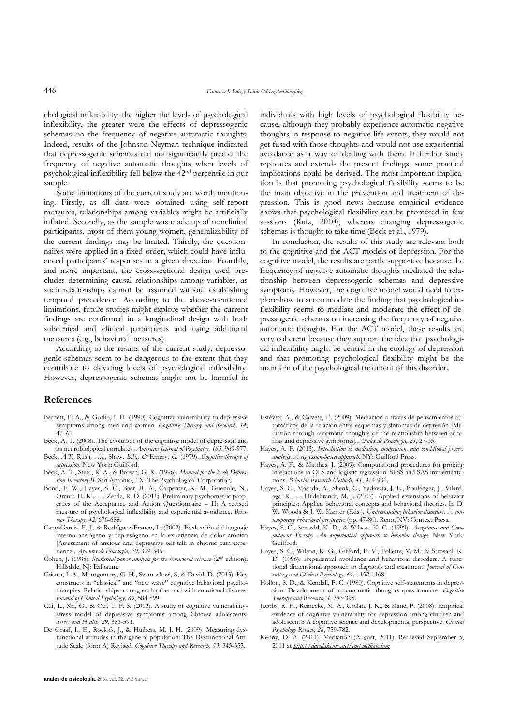chological inflexibility: the higher the levels of psychological inflexibility, the greater were the effects of depressogenic schemas on the frequency of negative automatic thoughts. Indeed, results of the Johnson-Neyman technique indicated that depressogenic schemas did not significantly predict the frequency of negative automatic thoughts when levels of psychological inflexibility fell below the 42nd percentile in our sample.

Some limitations of the current study are worth mentioning. Firstly, as all data were obtained using self-report measures, relationships among variables might be artificially inflated. Secondly, as the sample was made up of nonclinical participants, most of them young women, generalizability of the current findings may be limited. Thirdly, the questionnaires were applied in a fixed order, which could have influenced participants' responses in a given direction. Fourthly, and more important, the cross-sectional design used precludes determining causal relationships among variables, as such relationships cannot be assumed without establishing temporal precedence. According to the above-mentioned limitations, future studies might explore whether the current findings are confirmed in a longitudinal design with both subclinical and clinical participants and using additional measures (e.g., behavioral measures).

According to the results of the current study, depressogenic schemas seem to be dangerous to the extent that they contribute to elevating levels of psychological inflexibility. However, depressogenic schemas might not be harmful in

## **References**

- Barnett, P. A., & Gotlib, I. H. (1990). Cognitive vulnerability to depressive symptoms among men and women. *Cognitive Therapy and Research, 14*, 47–61.
- Beck, A. T. (2008). The evolution of the cognitive model of depression and its neurobiological correlates. *American Journal of Psychiatry, 165*, 969-977.
- Beck*, A.T.,* Rush*, A.J.,* Shaw*, B.F., &* Emery*, G.* (1979). *Cognitive therapy of depression*. New York: Guilford.
- Beck, A. T., Steer, R. A., & Brown, G. K. (1996). *Manual for the Beck Depression Inventory-II*. San Antonio, TX: The Psychological Corporation.
- Bond, F. W., Hayes, S. C., Baer, R. A., Carpenter, K. M., Guenole, N., Orcutt, H. K., . . . Zettle, R. D. (2011). Preliminary psychometric properties of the Acceptance and Action Questionnaire – II: A revised measure of psychological inflexibility and experiential avoidance. *Behavior Therapy, 42*, 676-688.
- Cano-García, F. J., & Rodríguez-Franco, L. (2002). Evaluación del lenguaje interno ansiógeno y depresógeno en la experiencia de dolor crónico [Assessment of anxious and depressive self-talk in chronic pain experience]. *Apuntes de Psicología, 20,* 329-346.
- Cohen, J. (1988). *Statistical power analysis for the behavioral sciences* (2nd edition). Hillsdale, NJ: Erlbaum.
- Cristea, I. A., Montgomery, G. H., Szamoskozi, S, & David, D. (2013). Key constructs in "classical" and "new wave" cognitive behavioral psychotherapies: Relationships among each other and with emotional distress. *Journal of Clinical Psychology, 69*, 584-599.
- Cui, L., Shi, G., & Oei, T. P. S. (2013). A study of cognitive vulnerabilitystress model of depressive symptoms among Chinese adolescents. *Stress and Health, 29*, 383-391.
- De Graaf, L. E., Roelofs, J., & Huibers, M. J. H. (2009). Measuring dysfunctional attitudes in the general population: The Dysfunctional Attitude Scale (form A) Revised. *Cognitive Therapy and Research, 33*, 345-355.

individuals with high levels of psychological flexibility because, although they probably experience automatic negative thoughts in response to negative life events, they would not get fused with those thoughts and would not use experiential avoidance as a way of dealing with them. If further study replicates and extends the present findings, some practical implications could be derived. The most important implication is that promoting psychological flexibility seems to be the main objective in the prevention and treatment of depression. This is good news because empirical evidence shows that psychological flexibility can be promoted in few sessions (Ruiz, 2010), whereas changing depressogenic schemas is thought to take time (Beck et al., 1979).

In conclusion, the results of this study are relevant both to the cognitive and the ACT models of depression. For the cognitive model, the results are partly supportive because the frequency of negative automatic thoughts mediated the relationship between depressogenic schemas and depressive symptoms. However, the cognitive model would need to explore how to accommodate the finding that psychological inflexibility seems to mediate and moderate the effect of depressogenic schemas on increasing the frequency of negative automatic thoughts. For the ACT model, these results are very coherent because they support the idea that psychological inflexibility might be central in the etiology of depression and that promoting psychological flexibility might be the main aim of the psychological treatment of this disorder.

- Estévez, A., & Calvete, E. (2009). Mediación a través de pensamientos automáticos de la relación entre esquemas y síntomas de depresión [Mediation through automatic thoughts of the relationship between schemas and depressive symptoms]. *Anales de Psicología, 25*, 27-35.
- Hayes, A. F. (2013). *Introduction to mediation, moderation, and conditional process analysis. A regression-based approach*. NY: Guilford Press.
- Hayes, A. F., & Matthes, J. (2009). Computational procedures for probing interactions in OLS and logistic regression: SPSS and SAS implementations. *Behavior Research Methods, 41*, 924-936.
- Hayes, S. C., Masuda, A., Shenk, C., Yadavaia, J. E., Boulanger, J., Vilardaga, R., … Hildebrandt, M. J. (2007). Applied extensions of behavior principles: Applied behavioral concepts and behavioral theories. In D. W. Woods & J. W. Kanter (Eds.), *Understanding behavior disorders. A contemporary behavioral perspective* (pp. 47-80). Reno, NV: Context Press.
- Hayes, S. C., Strosahl, K. D., & Wilson, K. G. (1999). *Acceptance and Commitment Therapy. An experiential approach to behavior change*. New York: Guilford.
- Hayes, S. C., Wilson, K. G., Gifford, E. V., Follette, V. M., & Strosahl, K. D. (1996). Experiential avoidance and behavioral disorders: A functional dimensional approach to diagnosis and treatment. *Journal of Consulting and Clinical Psychology, 64*, 1152-1168.
- Hollon, S. D., & Kendall, P. C. (1980). Cognitive self-statements in depression: Development of an automatic thoughts questionnaire. *Cognitive Therapy and Research, 4*, 383-395.
- Jacobs, R. H., Reinecke, M. A., Gollan, J. K., & Kane, P. (2008). Empirical evidence of cognitive vulnerability for depression among children and adolescents: A cognitive science and developmental perspective. *Clinical Psychology Review, 28*, 759-782.
- Kenny, D. A. (2011). Mediation (August, 2011). Retrieved September 5, 2011 at *<http://davidakenny.net/cm/mediate.htm>*